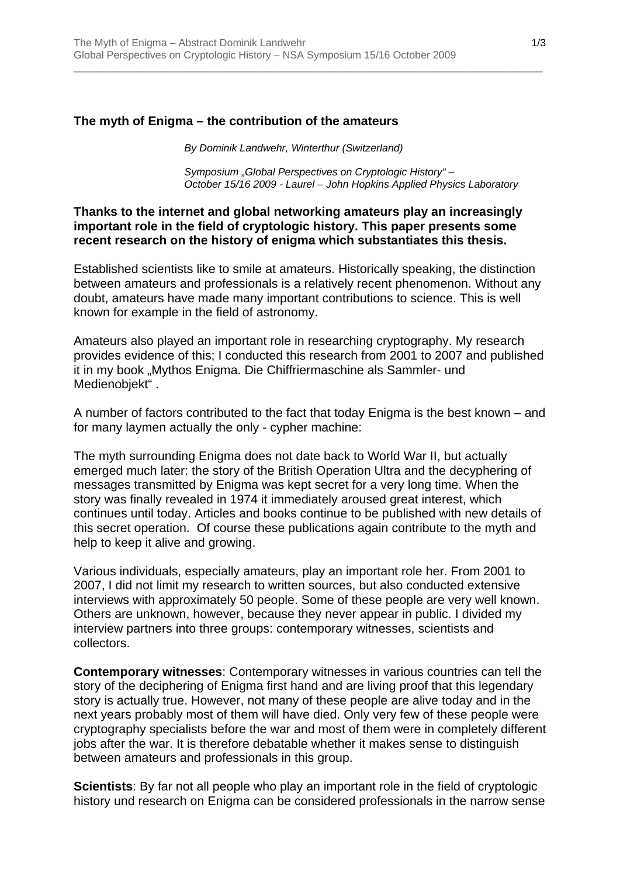### **The myth of Enigma – the contribution of the amateurs**

*By Dominik Landwehr, Winterthur (Switzerland)* 

\_\_\_\_\_\_\_\_\_\_\_\_\_\_\_\_\_\_\_\_\_\_\_\_\_\_\_\_\_\_\_\_\_\_\_\_\_\_\_\_\_\_\_\_\_\_\_\_\_\_\_\_\_\_\_\_\_\_\_\_\_\_\_\_\_\_\_\_\_\_\_\_\_\_\_\_\_\_\_\_\_

*Symposium "Global Perspectives on Cryptologic History" – October 15/16 2009 - Laurel – John Hopkins Applied Physics Laboratory* 

### **Thanks to the internet and global networking amateurs play an increasingly important role in the field of cryptologic history. This paper presents some recent research on the history of enigma which substantiates this thesis.**

Established scientists like to smile at amateurs. Historically speaking, the distinction between amateurs and professionals is a relatively recent phenomenon. Without any doubt, amateurs have made many important contributions to science. This is well known for example in the field of astronomy.

Amateurs also played an important role in researching cryptography. My research provides evidence of this; I conducted this research from 2001 to 2007 and published it in my book "Mythos Enigma. Die Chiffriermaschine als Sammler- und Medienobiekt".

A number of factors contributed to the fact that today Enigma is the best known – and for many laymen actually the only - cypher machine:

The myth surrounding Enigma does not date back to World War II, but actually emerged much later: the story of the British Operation Ultra and the decyphering of messages transmitted by Enigma was kept secret for a very long time. When the story was finally revealed in 1974 it immediately aroused great interest, which continues until today. Articles and books continue to be published with new details of this secret operation. Of course these publications again contribute to the myth and help to keep it alive and growing.

Various individuals, especially amateurs, play an important role her. From 2001 to 2007, I did not limit my research to written sources, but also conducted extensive interviews with approximately 50 people. Some of these people are very well known. Others are unknown, however, because they never appear in public. I divided my interview partners into three groups: contemporary witnesses, scientists and collectors.

**Contemporary witnesses**: Contemporary witnesses in various countries can tell the story of the deciphering of Enigma first hand and are living proof that this legendary story is actually true. However, not many of these people are alive today and in the next years probably most of them will have died. Only very few of these people were cryptography specialists before the war and most of them were in completely different jobs after the war. It is therefore debatable whether it makes sense to distinguish between amateurs and professionals in this group.

**Scientists**: By far not all people who play an important role in the field of cryptologic history und research on Enigma can be considered professionals in the narrow sense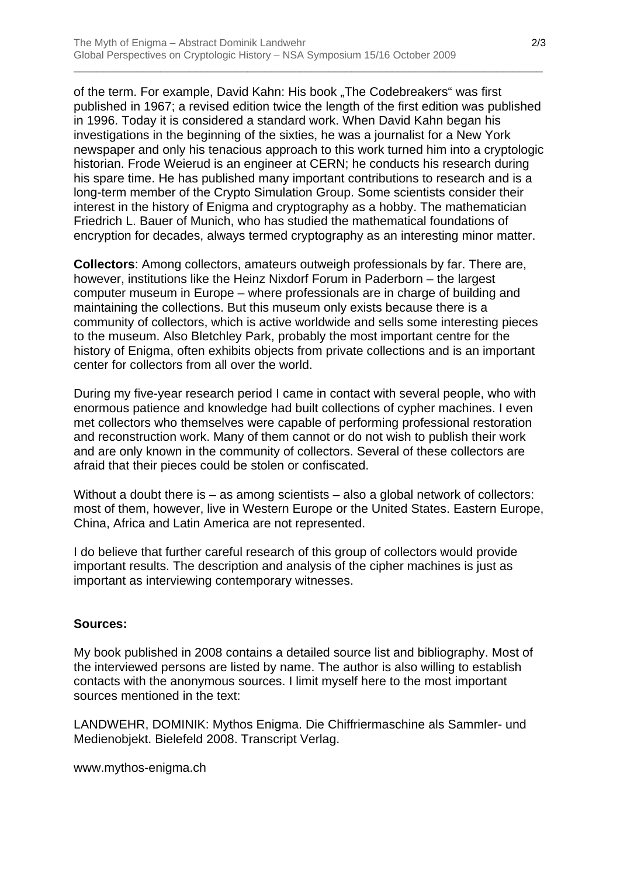of the term. For example, David Kahn: His book "The Codebreakers" was first published in 1967; a revised edition twice the length of the first edition was published in 1996. Today it is considered a standard work. When David Kahn began his investigations in the beginning of the sixties, he was a journalist for a New York newspaper and only his tenacious approach to this work turned him into a cryptologic historian. Frode Weierud is an engineer at CERN; he conducts his research during his spare time. He has published many important contributions to research and is a long-term member of the Crypto Simulation Group. Some scientists consider their interest in the history of Enigma and cryptography as a hobby. The mathematician Friedrich L. Bauer of Munich, who has studied the mathematical foundations of encryption for decades, always termed cryptography as an interesting minor matter.

\_\_\_\_\_\_\_\_\_\_\_\_\_\_\_\_\_\_\_\_\_\_\_\_\_\_\_\_\_\_\_\_\_\_\_\_\_\_\_\_\_\_\_\_\_\_\_\_\_\_\_\_\_\_\_\_\_\_\_\_\_\_\_\_\_\_\_\_\_\_\_\_\_\_\_\_\_\_\_\_\_

**Collectors**: Among collectors, amateurs outweigh professionals by far. There are, however, institutions like the Heinz Nixdorf Forum in Paderborn – the largest computer museum in Europe – where professionals are in charge of building and maintaining the collections. But this museum only exists because there is a community of collectors, which is active worldwide and sells some interesting pieces to the museum. Also Bletchley Park, probably the most important centre for the history of Enigma, often exhibits objects from private collections and is an important center for collectors from all over the world.

During my five-year research period I came in contact with several people, who with enormous patience and knowledge had built collections of cypher machines. I even met collectors who themselves were capable of performing professional restoration and reconstruction work. Many of them cannot or do not wish to publish their work and are only known in the community of collectors. Several of these collectors are afraid that their pieces could be stolen or confiscated.

Without a doubt there is – as among scientists – also a global network of collectors: most of them, however, live in Western Europe or the United States. Eastern Europe, China, Africa and Latin America are not represented.

I do believe that further careful research of this group of collectors would provide important results. The description and analysis of the cipher machines is just as important as interviewing contemporary witnesses.

## **Sources:**

My book published in 2008 contains a detailed source list and bibliography. Most of the interviewed persons are listed by name. The author is also willing to establish contacts with the anonymous sources. I limit myself here to the most important sources mentioned in the text:

LANDWEHR, DOMINIK: Mythos Enigma. Die Chiffriermaschine als Sammler- und Medienobjekt. Bielefeld 2008. Transcript Verlag.

www.mythos-enigma.ch